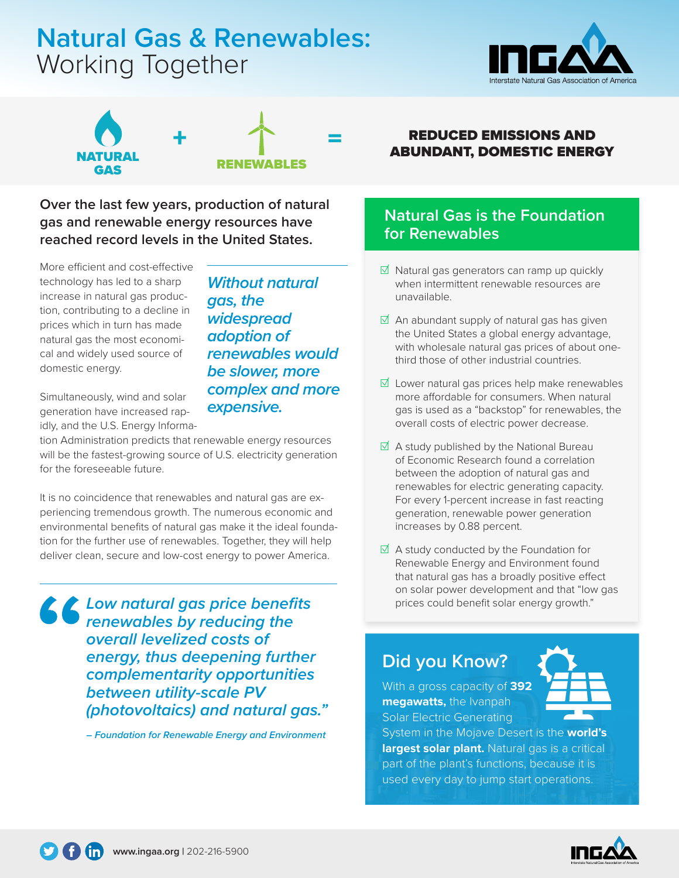# **Natural Gas & Renewables:** Working Together





*Without natural* 

*renewables would be slower, more complex and more* 

*gas, the* 

*widespread adoption of* 

*expensive.* 

**Over the last few years, production of natural gas and renewable energy resources have reached record levels in the United States.** 

More efficient and cost-effective technology has led to a sharp increase in natural gas production, contributing to a decline in prices which in turn has made natural gas the most economical and widely used source of domestic energy.

Simultaneously, wind and solar generation have increased rapidly, and the U.S. Energy Informa-

tion Administration predicts that renewable energy resources will be the fastest-growing source of U.S. electricity generation for the foreseeable future.

It is no coincidence that renewables and natural gas are experiencing tremendous growth. The numerous economic and environmental benefits of natural gas make it the ideal foundation for the further use of renewables. Together, they will help deliver clean, secure and low-cost energy to power America.

*Low natural gas price benefits renewables by reducing the overall levelized costs of energy, thus deepening further complementarity opportunities between utility-scale PV (photovoltaics) and natural gas."*

**–** *Foundation for Renewable Energy and Environment*

#### **REDUCED EMISSIONS AND** ABUNDANT, DOMESTIC ENERGY

### **Natural Gas is the Foundation for Renewables**

- ☑ Natural gas generators can ramp up quickly when intermittent renewable resources are unavailable.
- $\boxtimes$  An abundant supply of natural gas has given the United States a global energy advantage, with wholesale natural gas prices of about onethird those of other industrial countries.
- ☑ Lower natural gas prices help make renewables more affordable for consumers. When natural gas is used as a "backstop" for renewables, the overall costs of electric power decrease.
- $\overline{\mathsf{d}}$  A study published by the National Bureau of Economic Research found a correlation between the adoption of natural gas and renewables for electric generating capacity. For every 1-percent increase in fast reacting generation, renewable power generation increases by 0.88 percent.
- $\overline{\mathsf{d}}$  A study conducted by the Foundation for Renewable Energy and Environment found that natural gas has a broadly positive effect on solar power development and that "low gas prices could benefit solar energy growth."

## **Did you Know?**

With a gross capacity of **392 megawatts,** the Ivanpah Solar Electric Generating

System in the Mojave Desert is the **world's largest solar plant.** Natural gas is a critical part of the plant's functions, because it is used every day to jump start operations.